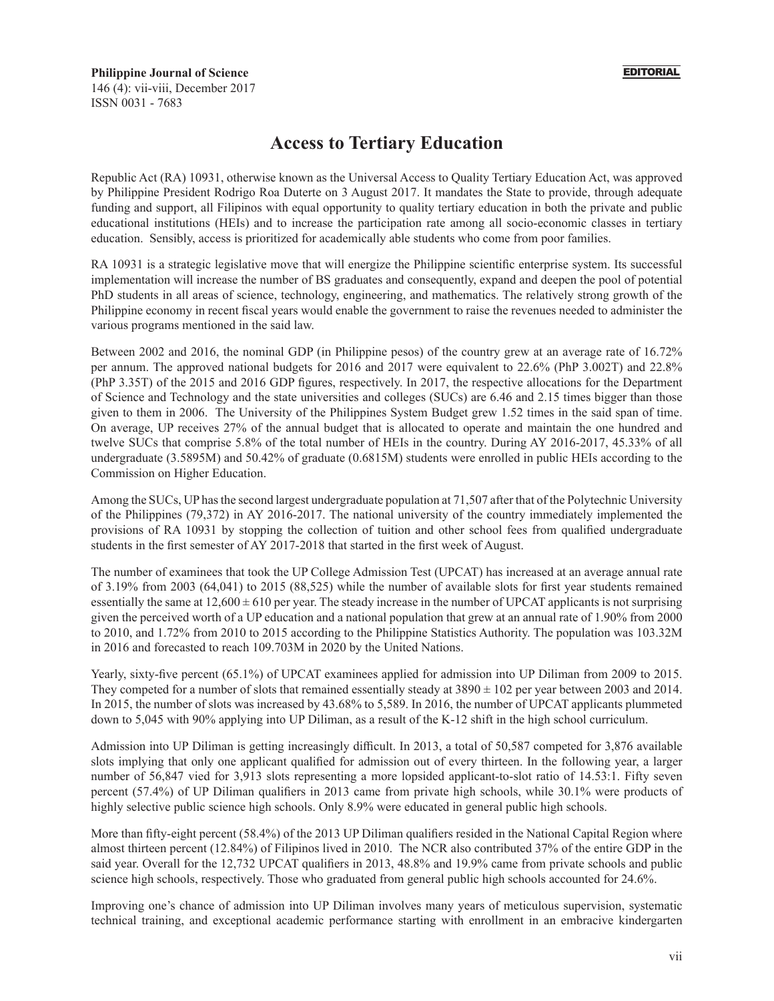## **Philippine Journal of Science** 146 (4): vii-viii, December 2017 ISSN 0031 - 7683

## **Access to Tertiary Education**

Republic Act (RA) 10931, otherwise known as the Universal Access to Quality Tertiary Education Act, was approved by Philippine President Rodrigo Roa Duterte on 3 August 2017. It mandates the State to provide, through adequate funding and support, all Filipinos with equal opportunity to quality tertiary education in both the private and public educational institutions (HEIs) and to increase the participation rate among all socio-economic classes in tertiary education. Sensibly, access is prioritized for academically able students who come from poor families.

RA 10931 is a strategic legislative move that will energize the Philippine scientific enterprise system. Its successful implementation will increase the number of BS graduates and consequently, expand and deepen the pool of potential PhD students in all areas of science, technology, engineering, and mathematics. The relatively strong growth of the Philippine economy in recent fiscal years would enable the government to raise the revenues needed to administer the various programs mentioned in the said law.

Between 2002 and 2016, the nominal GDP (in Philippine pesos) of the country grew at an average rate of 16.72% per annum. The approved national budgets for 2016 and 2017 were equivalent to 22.6% (PhP 3.002T) and 22.8% (PhP 3.35T) of the 2015 and 2016 GDP figures, respectively. In 2017, the respective allocations for the Department of Science and Technology and the state universities and colleges (SUCs) are 6.46 and 2.15 times bigger than those given to them in 2006. The University of the Philippines System Budget grew 1.52 times in the said span of time. On average, UP receives 27% of the annual budget that is allocated to operate and maintain the one hundred and twelve SUCs that comprise 5.8% of the total number of HEIs in the country. During AY 2016-2017, 45.33% of all undergraduate (3.5895M) and 50.42% of graduate (0.6815M) students were enrolled in public HEIs according to the Commission on Higher Education.

Among the SUCs, UP has the second largest undergraduate population at 71,507 after that of the Polytechnic University of the Philippines (79,372) in AY 2016-2017. The national university of the country immediately implemented the provisions of RA 10931 by stopping the collection of tuition and other school fees from qualified undergraduate students in the first semester of AY 2017-2018 that started in the first week of August.

The number of examinees that took the UP College Admission Test (UPCAT) has increased at an average annual rate of 3.19% from 2003 (64,041) to 2015 (88,525) while the number of available slots for first year students remained essentially the same at  $12,600 \pm 610$  per year. The steady increase in the number of UPCAT applicants is not surprising given the perceived worth of a UP education and a national population that grew at an annual rate of 1.90% from 2000 to 2010, and 1.72% from 2010 to 2015 according to the Philippine Statistics Authority. The population was 103.32M in 2016 and forecasted to reach 109.703M in 2020 by the United Nations.

Yearly, sixty-five percent (65.1%) of UPCAT examinees applied for admission into UP Diliman from 2009 to 2015. They competed for a number of slots that remained essentially steady at  $3890 \pm 102$  per year between 2003 and 2014. In 2015, the number of slots was increased by 43.68% to 5,589. In 2016, the number of UPCAT applicants plummeted down to 5,045 with 90% applying into UP Diliman, as a result of the K-12 shift in the high school curriculum.

Admission into UP Diliman is getting increasingly difficult. In 2013, a total of 50,587 competed for 3,876 available slots implying that only one applicant qualified for admission out of every thirteen. In the following year, a larger number of 56,847 vied for 3,913 slots representing a more lopsided applicant-to-slot ratio of 14.53:1. Fifty seven percent (57.4%) of UP Diliman qualifiers in 2013 came from private high schools, while 30.1% were products of highly selective public science high schools. Only 8.9% were educated in general public high schools.

More than fifty-eight percent (58.4%) of the 2013 UP Diliman qualifiers resided in the National Capital Region where almost thirteen percent (12.84%) of Filipinos lived in 2010. The NCR also contributed 37% of the entire GDP in the said year. Overall for the 12,732 UPCAT qualifiers in 2013, 48.8% and 19.9% came from private schools and public science high schools, respectively. Those who graduated from general public high schools accounted for 24.6%.

Improving one's chance of admission into UP Diliman involves many years of meticulous supervision, systematic technical training, and exceptional academic performance starting with enrollment in an embracive kindergarten